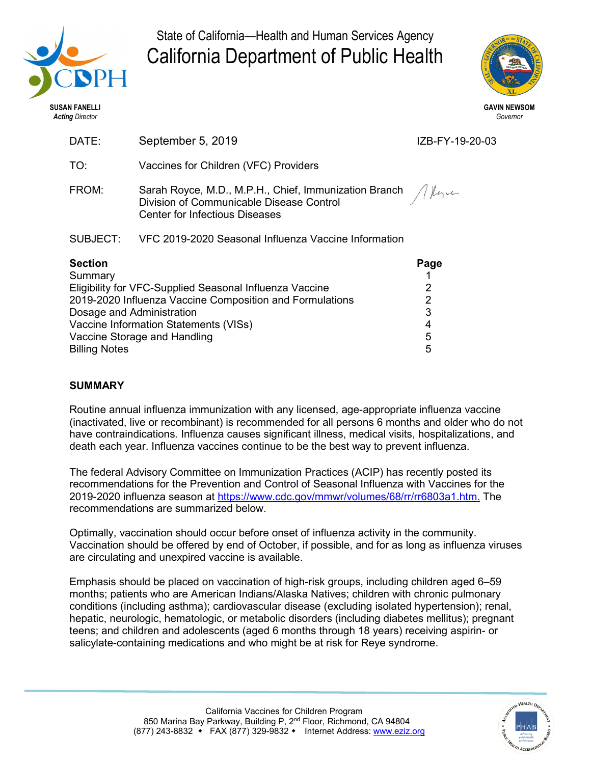

State of California—Health and Human Services Agency California Department of Public Health



| DATE:                                                                                | September 5, 2019                                                                                                                                             | IZB-FY-19-20-03 |
|--------------------------------------------------------------------------------------|---------------------------------------------------------------------------------------------------------------------------------------------------------------|-----------------|
| TO:                                                                                  | Vaccines for Children (VFC) Providers                                                                                                                         |                 |
| FROM:                                                                                | Sarah Royce, M.D., M.P.H., Chief, Immunization Branch $\sqrt{ \mu_1 \omega_2 }$<br>Division of Communicable Disease Control<br>Center for Infectious Diseases |                 |
| SUBJECT:                                                                             | VFC 2019-2020 Seasonal Influenza Vaccine Information                                                                                                          |                 |
| <b>Section</b><br>Summary<br>Eligibility for VFC-Supplied Seasonal Influenza Vaccine |                                                                                                                                                               | Page<br>2       |
| 2019-2020 Influenza Vaccine Composition and Formulations                             |                                                                                                                                                               | $\overline{2}$  |
| 3<br>Dosage and Administration<br>Vaccine Information Statements (VISs)<br>4         |                                                                                                                                                               |                 |
| Vaccine Storage and Handling                                                         | 5                                                                                                                                                             |                 |
| <b>Billing Notes</b>                                                                 |                                                                                                                                                               | 5               |

# **SUMMARY**

Routine annual influenza immunization with any licensed, age-appropriate influenza vaccine (inactivated, live or recombinant) is recommended for all persons 6 months and older who do not have contraindications. Influenza causes significant illness, medical visits, hospitalizations, and death each year. Influenza vaccines continue to be the best way to prevent influenza.

The federal Advisory Committee on Immunization Practices (ACIP) has recently posted its recommendations for the Prevention and Control of Seasonal Influenza with Vaccines for the 2019-2020 influenza season at [https://www.cdc.gov/mmwr/volumes/68/rr/rr6803a1.htm.](http://www.cdc.gov/vaccines/hcp/acip-recs/vacc-specific/flu.html) The recommendations are summarized below.

Optimally, vaccination should occur before onset of influenza activity in the community. Vaccination should be offered by end of October, if possible, and for as long as influenza viruses are circulating and unexpired vaccine is available.

Emphasis should be placed on vaccination of high-risk groups, including children aged 6–59 months; patients who are American Indians/Alaska Natives; children with chronic pulmonary conditions (including asthma); cardiovascular disease (excluding isolated hypertension); renal, hepatic, neurologic, hematologic, or metabolic disorders (including diabetes mellitus); pregnant teens; and children and adolescents (aged 6 months through 18 years) receiving aspirin- or salicylate-containing medications and who might be at risk for Reye syndrome.

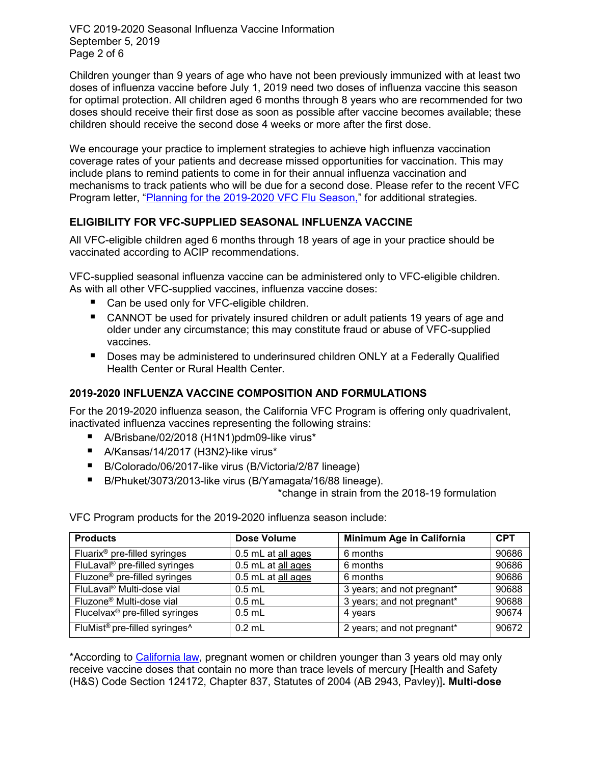VFC 2019-2020 Seasonal Influenza Vaccine Information September 5, 2019 Page 2 of 6

Children younger than 9 years of age who have not been previously immunized with at least two doses of influenza vaccine before July 1, 2019 need two doses of influenza vaccine this season for optimal protection. All children aged 6 months through 8 years who are recommended for two doses should receive their first dose as soon as possible after vaccine becomes available; these children should receive the second dose 4 weeks or more after the first dose.

We encourage your practice to implement strategies to achieve high influenza vaccination coverage rates of your patients and decrease missed opportunities for vaccination. This may include plans to remind patients to come in for their annual influenza vaccination and mechanisms to track patients who will be due for a second dose. Please refer to the recent VFC Program letter, ["Planning for the 2019-2020 VFC Flu Season,](http://eziz.org/assets/docs/2019Sept20192020FluPlanningLetter.pdf)" for additional strategies.

## **ELIGIBILITY FOR VFC-SUPPLIED SEASONAL INFLUENZA VACCINE**

All VFC-eligible children aged 6 months through 18 years of age in your practice should be vaccinated according to ACIP recommendations.

VFC-supplied seasonal influenza vaccine can be administered only to VFC-eligible children. As with all other VFC-supplied vaccines, influenza vaccine doses:

- Can be used only for VFC-eligible children.
- CANNOT be used for privately insured children or adult patients 19 years of age and older under any circumstance; this may constitute fraud or abuse of VFC-supplied vaccines.
- Doses may be administered to underinsured children ONLY at a Federally Qualified Health Center or Rural Health Center.

## **2019-2020 INFLUENZA VACCINE COMPOSITION AND FORMULATIONS**

For the 2019-2020 influenza season, the California VFC Program is offering only quadrivalent, inactivated influenza vaccines representing the following strains:

- A/Brisbane/02/2018 (H1N1)pdm09-like virus\*
- A/Kansas/14/2017 (H3N2)-like virus\*
- B/Colorado/06/2017-like virus (B/Victoria/2/87 lineage)
- B/Phuket/3073/2013-like virus (B/Yamagata/16/88 lineage).

\*change in strain from the 2018-19 formulation

VFC Program products for the 2019-2020 influenza season include:

| <b>Products</b>                                       | Dose Volume        | Minimum Age in California  | <b>CPT</b> |
|-------------------------------------------------------|--------------------|----------------------------|------------|
| Fluarix <sup>®</sup> pre-filled syringes              | 0.5 mL at all ages | 6 months                   | 90686      |
| FluLaval <sup>®</sup> pre-filled syringes             | 0.5 mL at all ages | 6 months                   | 90686      |
| Fluzone <sup>®</sup> pre-filled syringes              | 0.5 mL at all ages | 6 months                   | 90686      |
| FluLaval <sup>®</sup> Multi-dose vial                 | $0.5$ mL           | 3 years; and not pregnant* | 90688      |
| Fluzone <sup>®</sup> Multi-dose vial                  | $0.5$ mL           | 3 years; and not pregnant* | 90688      |
| Flucelvax <sup>®</sup> pre-filled syringes            | $0.5$ mL           | 4 years                    | 90674      |
| FluMist <sup>®</sup> pre-filled syringes <sup>^</sup> | $0.2$ mL           | 2 years; and not pregnant* | 90672      |

\*According to [California law,](http://www.leginfo.ca.gov/pub/03-04/bill/asm/ab_2901-2950/ab_2943_bill_20040928_chaptered.html) pregnant women or children younger than 3 years old may only receive vaccine doses that contain no more than trace levels of mercury [Health and Safety (H&S) Code Section 124172, Chapter 837, Statutes of 2004 (AB 2943, Pavley)]**. Multi-dose**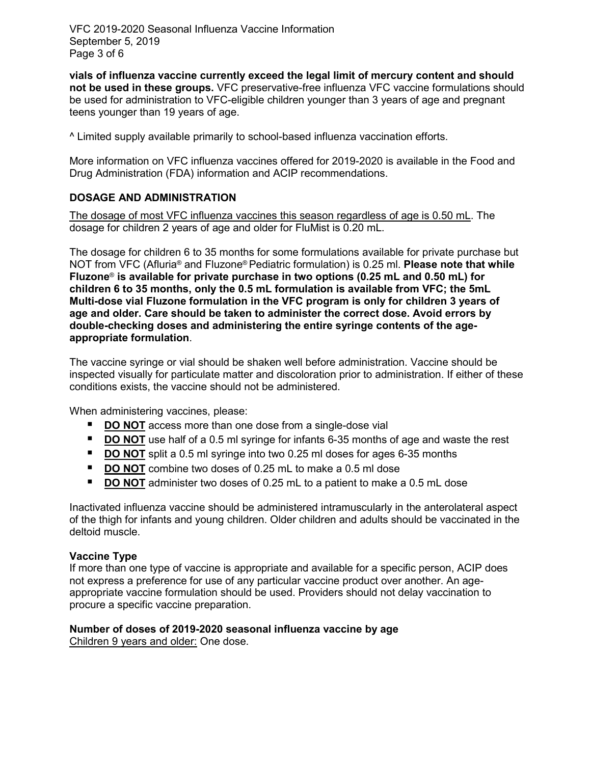VFC 2019-2020 Seasonal Influenza Vaccine Information September 5, 2019 Page 3 of 6

**vials of influenza vaccine currently exceed the legal limit of mercury content and should not be used in these groups.** VFC preservative-free influenza VFC vaccine formulations should be used for administration to VFC-eligible children younger than 3 years of age and pregnant teens younger than 19 years of age.

^ Limited supply available primarily to school-based influenza vaccination efforts.

More information on VFC influenza vaccines offered for 2019-2020 is available in the Food and Drug Administration (FDA) information and ACIP recommendations.

## **DOSAGE AND ADMINISTRATION**

The dosage of most VFC influenza vaccines this season regardless of age is 0.50 mL. The dosage for children 2 years of age and older for FluMist is 0.20 mL.

The dosage for children 6 to 35 months for some formulations available for private purchase but NOT from VFC (Afluria® and Fluzone® Pediatric formulation) is 0.25 ml. **Please note that while Fluzone**® **is available for private purchase in two options (0.25 mL and 0.50 mL) for children 6 to 35 months, only the 0.5 mL formulation is available from VFC; the 5mL Multi-dose vial Fluzone formulation in the VFC program is only for children 3 years of age and older. Care should be taken to administer the correct dose. Avoid errors by double-checking doses and administering the entire syringe contents of the ageappropriate formulation**.

The vaccine syringe or vial should be shaken well before administration. Vaccine should be inspected visually for particulate matter and discoloration prior to administration. If either of these conditions exists, the vaccine should not be administered.

When administering vaccines, please:

- **DO NOT** access more than one dose from a single-dose vial
- **DO NOT** use half of a 0.5 ml syringe for infants 6-35 months of age and waste the rest
- **DO NOT** split a 0.5 ml syringe into two 0.25 ml doses for ages 6-35 months
- **DO NOT** combine two doses of 0.25 mL to make a 0.5 ml dose
- **DO NOT** administer two doses of 0.25 mL to a patient to make a 0.5 mL dose

Inactivated influenza vaccine should be administered intramuscularly in the anterolateral aspect of the thigh for infants and young children. Older children and adults should be vaccinated in the deltoid muscle.

### **Vaccine Type**

If more than one type of vaccine is appropriate and available for a specific person, ACIP does not express a preference for use of any particular vaccine product over another. An ageappropriate vaccine formulation should be used. Providers should not delay vaccination to procure a specific vaccine preparation.

# **Number of doses of 2019-2020 seasonal influenza vaccine by age**

Children 9 years and older: One dose.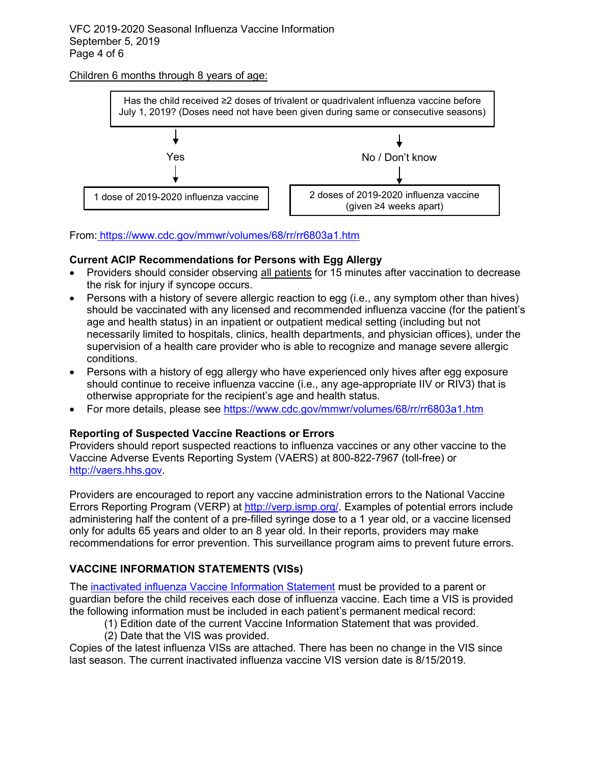## Children 6 months through 8 years of age:



From: <https://www.cdc.gov/mmwr/volumes/68/rr/rr6803a1.htm>

# **Current ACIP Recommendations for Persons with Egg Allergy**

- Providers should consider observing all patients for 15 minutes after vaccination to decrease the risk for injury if syncope occurs.
- Persons with a history of severe allergic reaction to egg (i.e., any symptom other than hives) should be vaccinated with any licensed and recommended influenza vaccine (for the patient's age and health status) in an inpatient or outpatient medical setting (including but not necessarily limited to hospitals, clinics, health departments, and physician offices), under the supervision of a health care provider who is able to recognize and manage severe allergic conditions.
- Persons with a history of egg allergy who have experienced only hives after egg exposure should continue to receive influenza vaccine (i.e., any age-appropriate IIV or RIV3) that is otherwise appropriate for the recipient's age and health status.
- For more details, please see<https://www.cdc.gov/mmwr/volumes/68/rr/rr6803a1.htm>

# **Reporting of Suspected Vaccine Reactions or Errors**

Providers should report suspected reactions to influenza vaccines or any other vaccine to the Vaccine Adverse Events Reporting System (VAERS) at 800-822-7967 (toll-free) or [http://vaers.hhs.gov.](http://vaers.hhs.gov/)

Providers are encouraged to report any vaccine administration errors to the National Vaccine Errors Reporting Program (VERP) at [http://verp.ismp.org/.](http://verp.ismp.org/) Examples of potential errors include administering half the content of a pre-filled syringe dose to a 1 year old, or a vaccine licensed only for adults 65 years and older to an 8 year old. In their reports, providers may make recommendations for error prevention. This surveillance program aims to prevent future errors.

# **VACCINE INFORMATION STATEMENTS (VISs)**

The [inactivated influenza Vaccine Information Statement](http://www.cdc.gov/vaccines/hcp/vis/vis-statements/flu.pdf) must be provided to a parent or guardian before the child receives each dose of influenza vaccine. Each time a VIS is provided the following information must be included in each patient's permanent medical record:

- (1) Edition date of the current Vaccine Information Statement that was provided.
- (2) Date that the VIS was provided.

Copies of the latest influenza VISs are attached. There has been no change in the VIS since last season. The current inactivated influenza vaccine VIS version date is 8/15/2019.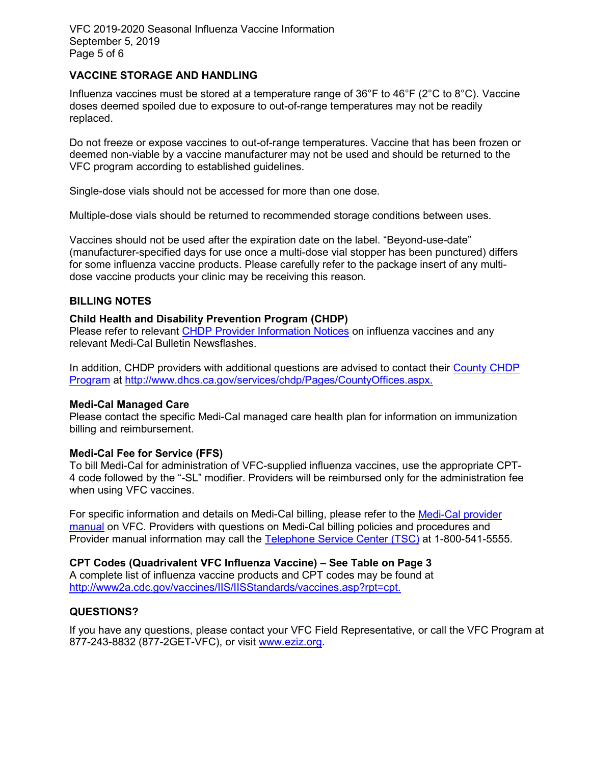VFC 2019-2020 Seasonal Influenza Vaccine Information September 5, 2019 Page 5 of 6

## **VACCINE STORAGE AND HANDLING**

Influenza vaccines must be stored at a temperature range of 36°F to 46°F (2°C to 8°C). Vaccine doses deemed spoiled due to exposure to out-of-range temperatures may not be readily replaced.

Do not freeze or expose vaccines to out-of-range temperatures. Vaccine that has been frozen or deemed non-viable by a vaccine manufacturer may not be used and should be returned to the VFC program according to established guidelines.

Single-dose vials should not be accessed for more than one dose.

Multiple-dose vials should be returned to recommended storage conditions between uses.

Vaccines should not be used after the expiration date on the label. "Beyond-use-date" (manufacturer-specified days for use once a multi-dose vial stopper has been punctured) differs for some influenza vaccine products. Please carefully refer to the package insert of any multidose vaccine products your clinic may be receiving this reason.

### **BILLING NOTES**

### **Child Health and Disability Prevention Program (CHDP)**

Please refer to relevant [CHDP Provider Information Notices](http://www.dhcs.ca.gov/services/chdp/Pages/CHDPPLPIN.aspx) on influenza vaccines and any relevant Medi-Cal Bulletin Newsflashes.

In addition, CHDP providers with additional questions are advised to contact their [County CHDP](http://www.dhcs.ca.gov/services/chdp/Pages/CountyOffices.aspx)  [Program](http://www.dhcs.ca.gov/services/chdp/Pages/CountyOffices.aspx) at [http://www.dhcs.ca.gov/services/chdp/Pages/CountyOffices.aspx.](http://www.dhcs.ca.gov/services/chdp/Pages/CountyOffices.aspx)

### **Medi-Cal Managed Care**

Please contact the specific Medi-Cal managed care health plan for information on immunization billing and reimbursement.

### **Medi-Cal Fee for Service (FFS)**

To bill Medi-Cal for administration of VFC-supplied influenza vaccines, use the appropriate CPT-4 code followed by the "-SL" modifier. Providers will be reimbursed only for the administration fee when using VFC vaccines.

For specific information and details on Medi-Cal billing, please refer to the Medi-Cal provider [manual](http://files.medi-cal.ca.gov/pubsdoco/Manuals_menu.asp) on VFC. Providers with questions on Medi-Cal billing policies and procedures and Provider manual information may call the [Telephone Service Center \(TSC\)](http://files.medi-cal.ca.gov/pubsdoco/contact/services.asp) at 1-800-541-5555.

**CPT Codes (Quadrivalent VFC Influenza Vaccine) – See Table on Page 3** A complete list of influenza vaccine products and CPT codes may be found at [http://www2a.cdc.gov/vaccines/IIS/IISStandards/vaccines.asp?rpt=cpt.](http://www2a.cdc.gov/vaccines/IIS/IISStandards/vaccines.asp?rpt=cpt)

### **QUESTIONS?**

If you have any questions, please contact your VFC Field Representative, or call the VFC Program at 877-243-8832 (877-2GET-VFC), or visit [www.eziz.org.](http://www.eziz.org/)